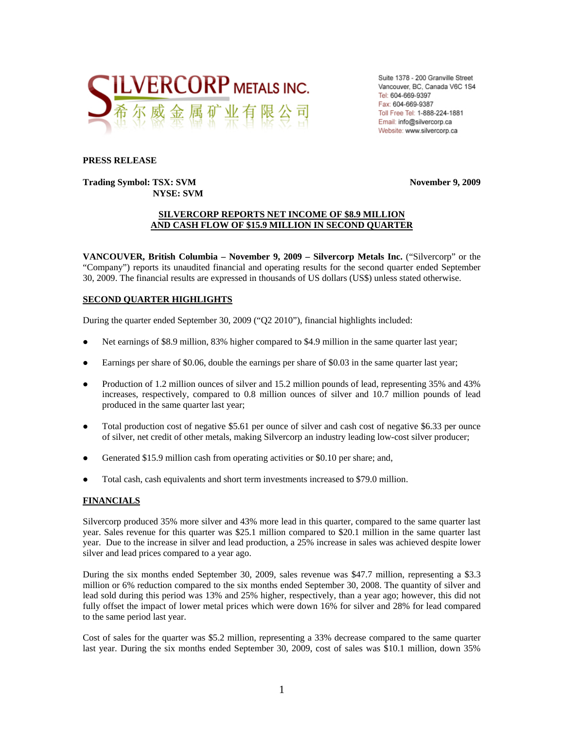

Suite 1378 - 200 Granville Street Vancouver, BC, Canada V6C 1S4 Tel: 604-669-9397 Fax: 604-669-9387 Toll Free Tel: 1-888-224-1881 Email: info@silvercorp.ca Website: www.silvercorp.ca

#### **PRESS RELEASE**

**Trading Symbol: TSX: SVM November 9, 2009 NYSE: SVM** 

### **SILVERCORP REPORTS NET INCOME OF \$8.9 MILLION AND CASH FLOW OF \$15.9 MILLION IN SECOND QUARTER**

**VANCOUVER, British Columbia – November 9, 2009 – Silvercorp Metals Inc.** ("Silvercorp" or the "Company") reports its unaudited financial and operating results for the second quarter ended September 30, 2009. The financial results are expressed in thousands of US dollars (US\$) unless stated otherwise.

### **SECOND QUARTER HIGHLIGHTS**

During the quarter ended September 30, 2009 ("Q2 2010"), financial highlights included:

- Net earnings of \$8.9 million, 83% higher compared to \$4.9 million in the same quarter last year;
- Earnings per share of \$0.06, double the earnings per share of \$0.03 in the same quarter last year;
- Production of 1.2 million ounces of silver and 15.2 million pounds of lead, representing 35% and 43% increases, respectively, compared to 0.8 million ounces of silver and 10.7 million pounds of lead produced in the same quarter last year;
- $\bullet$  Total production cost of negative \$5.61 per ounce of silver and cash cost of negative \$6.33 per ounce of silver, net credit of other metals, making Silvercorp an industry leading low-cost silver producer;
- $\bullet$  Generated \$15.9 million cash from operating activities or \$0.10 per share; and,
- Total cash, cash equivalents and short term investments increased to \$79.0 million.

#### **FINANCIALS**

Silvercorp produced 35% more silver and 43% more lead in this quarter, compared to the same quarter last year. Sales revenue for this quarter was \$25.1 million compared to \$20.1 million in the same quarter last year. Due to the increase in silver and lead production, a 25% increase in sales was achieved despite lower silver and lead prices compared to a year ago.

During the six months ended September 30, 2009, sales revenue was \$47.7 million, representing a \$3.3 million or 6% reduction compared to the six months ended September 30, 2008. The quantity of silver and lead sold during this period was 13% and 25% higher, respectively, than a year ago; however, this did not fully offset the impact of lower metal prices which were down 16% for silver and 28% for lead compared to the same period last year.

Cost of sales for the quarter was \$5.2 million, representing a 33% decrease compared to the same quarter last year. During the six months ended September 30, 2009, cost of sales was \$10.1 million, down 35%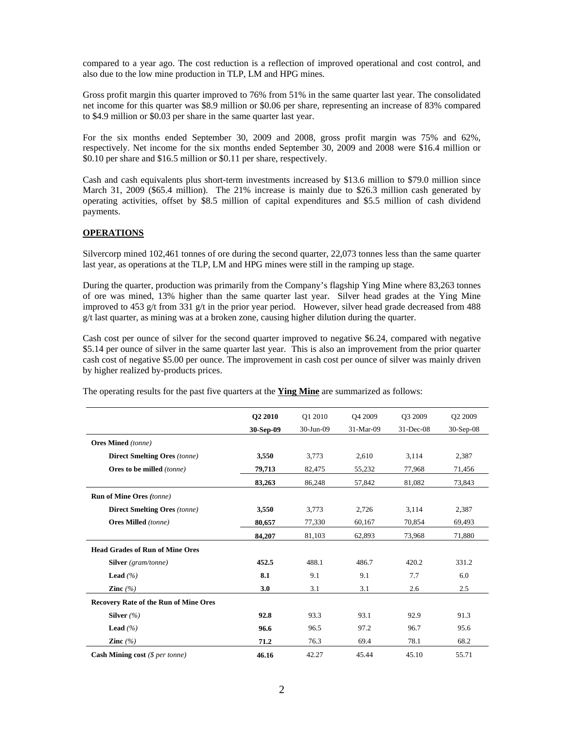compared to a year ago. The cost reduction is a reflection of improved operational and cost control, and also due to the low mine production in TLP, LM and HPG mines.

Gross profit margin this quarter improved to 76% from 51% in the same quarter last year. The consolidated net income for this quarter was \$8.9 million or \$0.06 per share, representing an increase of 83% compared to \$4.9 million or \$0.03 per share in the same quarter last year.

For the six months ended September 30, 2009 and 2008, gross profit margin was 75% and 62%, respectively. Net income for the six months ended September 30, 2009 and 2008 were \$16.4 million or \$0.10 per share and \$16.5 million or \$0.11 per share, respectively.

Cash and cash equivalents plus short-term investments increased by \$13.6 million to \$79.0 million since March 31, 2009 (\$65.4 million). The 21% increase is mainly due to \$26.3 million cash generated by operating activities, offset by \$8.5 million of capital expenditures and \$5.5 million of cash dividend payments.

#### **OPERATIONS**

Silvercorp mined 102,461 tonnes of ore during the second quarter, 22,073 tonnes less than the same quarter last year, as operations at the TLP, LM and HPG mines were still in the ramping up stage.

During the quarter, production was primarily from the Company's flagship Ying Mine where 83,263 tonnes of ore was mined, 13% higher than the same quarter last year. Silver head grades at the Ying Mine improved to 453 g/t from 331 g/t in the prior year period. However, silver head grade decreased from 488  $g/t$  last quarter, as mining was at a broken zone, causing higher dilution during the quarter.

Cash cost per ounce of silver for the second quarter improved to negative \$6.24, compared with negative \$5.14 per ounce of silver in the same quarter last year. This is also an improvement from the prior quarter cash cost of negative \$5.00 per ounce. The improvement in cash cost per ounce of silver was mainly driven by higher realized by-products prices.

|                                              | Q2 2010   | Q1 2010      | O <sub>4</sub> 2009 | Q3 2009       | Q2 2009     |
|----------------------------------------------|-----------|--------------|---------------------|---------------|-------------|
|                                              | 30-Sep-09 | $30$ -Jun-09 | 31-Mar-09           | $31 - Dec-08$ | $30-Sep-08$ |
| <b>Ores Mined</b> (tonne)                    |           |              |                     |               |             |
| <b>Direct Smelting Ores</b> (tonne)          | 3,550     | 3,773        | 2,610               | 3,114         | 2,387       |
| Ores to be milled (tonne)                    | 79,713    | 82,475       | 55,232              | 77,968        | 71,456      |
|                                              | 83,263    | 86,248       | 57,842              | 81,082        | 73,843      |
| <b>Run of Mine Ores (tonne)</b>              |           |              |                     |               |             |
| <b>Direct Smelting Ores</b> (tonne)          | 3,550     | 3,773        | 2,726               | 3,114         | 2,387       |
| <b>Ores Milled</b> (tonne)                   | 80,657    | 77,330       | 60,167              | 70,854        | 69,493      |
|                                              | 84,207    | 81,103       | 62,893              | 73,968        | 71,880      |
| <b>Head Grades of Run of Mine Ores</b>       |           |              |                     |               |             |
| <b>Silver</b> (gram/tonne)                   | 452.5     | 488.1        | 486.7               | 420.2         | 331.2       |
| <b>Lead</b> $(%$                             | 8.1       | 9.1          | 9.1                 | 7.7           | 6.0         |
| Zinc $(%$                                    | 3.0       | 3.1          | 3.1                 | 2.6           | 2.5         |
| <b>Recovery Rate of the Run of Mine Ores</b> |           |              |                     |               |             |
| Silver $(%$                                  | 92.8      | 93.3         | 93.1                | 92.9          | 91.3        |
| <b>Lead</b> $(%$                             | 96.6      | 96.5         | 97.2                | 96.7          | 95.6        |
| Zinc $(%$                                    | 71.2      | 76.3         | 69.4                | 78.1          | 68.2        |
| <b>Cash Mining cost</b> ( $$per$ tonne)      | 46.16     | 42.27        | 45.44               | 45.10         | 55.71       |

The operating results for the past five quarters at the **Ying Mine** are summarized as follows: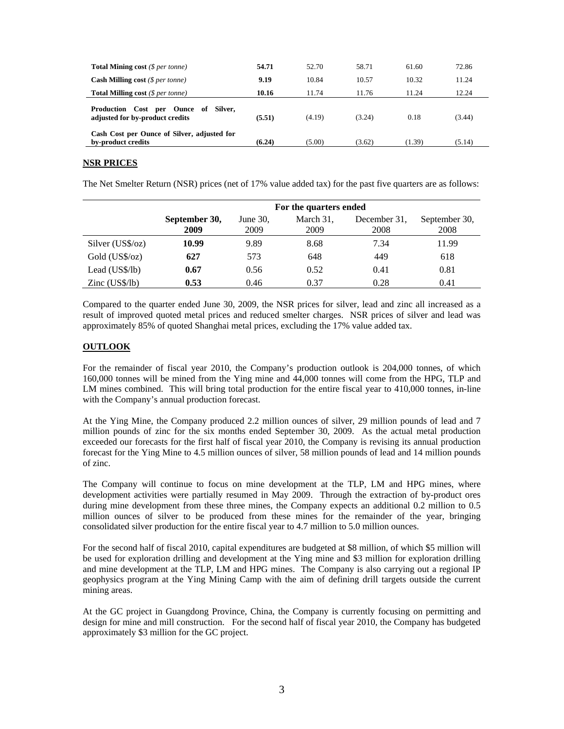| <b>Total Mining cost</b> (\$ per tonne)                                          | 54.71  | 52.70  | 58.71  | 61.60  | 72.86  |
|----------------------------------------------------------------------------------|--------|--------|--------|--------|--------|
| <b>Cash Milling cost</b> $(\$ per tonne)$                                        | 9.19   | 10.84  | 10.57  | 10.32  | 11.24  |
| <b>Total Milling cost</b> ( $\$$ per tonne)                                      | 10.16  | 11.74  | 11.76  | 11.24  | 12.24  |
| Ounce of Silver.<br>Cost<br>Production<br>per<br>adjusted for by-product credits | (5.51) | (4.19) | (3.24) | 0.18   | (3.44) |
| Cash Cost per Ounce of Silver, adjusted for<br>by-product credits                | (6.24) | (5.00) | (3.62) | (1.39) | (5.14) |

### **NSR PRICES**

The Net Smelter Return (NSR) prices (net of 17% value added tax) for the past five quarters are as follows:

|                         | For the quarters ended |                     |                   |                      |                       |  |  |  |  |  |
|-------------------------|------------------------|---------------------|-------------------|----------------------|-----------------------|--|--|--|--|--|
|                         | September 30,<br>2009  | June $30$ ,<br>2009 | March 31,<br>2009 | December 31,<br>2008 | September 30,<br>2008 |  |  |  |  |  |
| Silver (US\$/oz)        | 10.99                  | 9.89                | 8.68              | 7.34                 | 11.99                 |  |  |  |  |  |
| Gold (US\$/oz)          | 627                    | 573                 | 648               | 449                  | 618                   |  |  |  |  |  |
| Lead (US\$/lb)          | 0.67                   | 0.56                | 0.52              | 0.41                 | 0.81                  |  |  |  |  |  |
| $\text{Zinc}$ (US\$/lb) | 0.53                   | 0.46                | 0.37              | 0.28                 | 0.41                  |  |  |  |  |  |

Compared to the quarter ended June 30, 2009, the NSR prices for silver, lead and zinc all increased as a result of improved quoted metal prices and reduced smelter charges. NSR prices of silver and lead was approximately 85% of quoted Shanghai metal prices, excluding the 17% value added tax.

#### **OUTLOOK**

For the remainder of fiscal year 2010, the Company's production outlook is 204,000 tonnes, of which 160,000 tonnes will be mined from the Ying mine and 44,000 tonnes will come from the HPG, TLP and LM mines combined. This will bring total production for the entire fiscal year to 410,000 tonnes, in-line with the Company's annual production forecast.

At the Ying Mine, the Company produced 2.2 million ounces of silver, 29 million pounds of lead and 7 million pounds of zinc for the six months ended September 30, 2009. As the actual metal production exceeded our forecasts for the first half of fiscal year 2010, the Company is revising its annual production forecast for the Ying Mine to 4.5 million ounces of silver, 58 million pounds of lead and 14 million pounds of zinc.

The Company will continue to focus on mine development at the TLP, LM and HPG mines, where development activities were partially resumed in May 2009. Through the extraction of by-product ores during mine development from these three mines, the Company expects an additional 0.2 million to 0.5 million ounces of silver to be produced from these mines for the remainder of the year, bringing consolidated silver production for the entire fiscal year to 4.7 million to 5.0 million ounces.

For the second half of fiscal 2010, capital expenditures are budgeted at \$8 million, of which \$5 million will be used for exploration drilling and development at the Ying mine and \$3 million for exploration drilling and mine development at the TLP, LM and HPG mines. The Company is also carrying out a regional IP geophysics program at the Ying Mining Camp with the aim of defining drill targets outside the current mining areas.

At the GC project in Guangdong Province, China, the Company is currently focusing on permitting and design for mine and mill construction. For the second half of fiscal year 2010, the Company has budgeted approximately \$3 million for the GC project.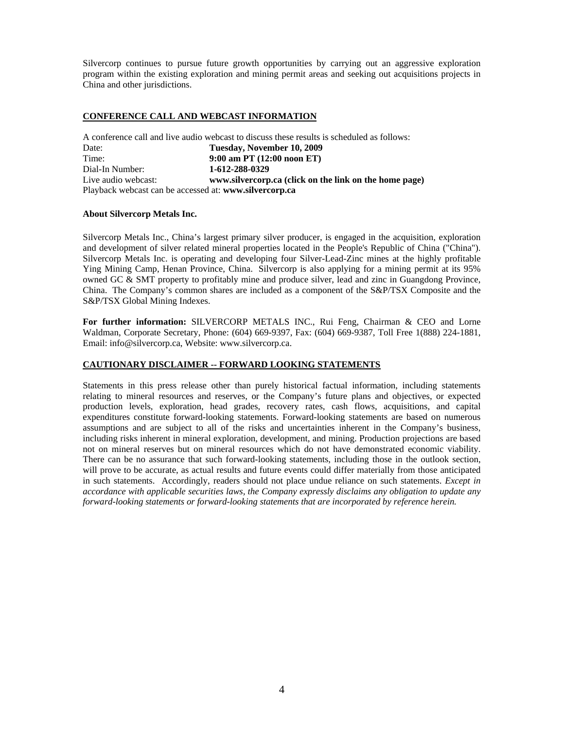Silvercorp continues to pursue future growth opportunities by carrying out an aggressive exploration program within the existing exploration and mining permit areas and seeking out acquisitions projects in China and other jurisdictions.

### **CONFERENCE CALL AND WEBCAST INFORMATION**

|                                                        | A conference call and live audio webcast to discuss these results is scheduled as follows: |
|--------------------------------------------------------|--------------------------------------------------------------------------------------------|
| Date:                                                  | Tuesday, November 10, 2009                                                                 |
| Time:                                                  | $9:00$ am PT $(12:00$ noon ET)                                                             |
| Dial-In Number:                                        | 1-612-288-0329                                                                             |
| Live audio webcast:                                    | www.silvercorp.ca (click on the link on the home page)                                     |
| Playback webcast can be accessed at: www.silvercorp.ca |                                                                                            |

#### **About Silvercorp Metals Inc.**

Silvercorp Metals Inc., China's largest primary silver producer, is engaged in the acquisition, exploration and development of silver related mineral properties located in the People's Republic of China ("China"). Silvercorp Metals Inc. is operating and developing four Silver-Lead-Zinc mines at the highly profitable Ying Mining Camp, Henan Province, China. Silvercorp is also applying for a mining permit at its 95% owned GC & SMT property to profitably mine and produce silver, lead and zinc in Guangdong Province, China. The Company's common shares are included as a component of the S&P/TSX Composite and the S&P/TSX Global Mining Indexes.

**For further information:** SILVERCORP METALS INC., Rui Feng, Chairman & CEO and Lorne Waldman, Corporate Secretary, Phone: (604) 669-9397, Fax: (604) 669-9387, Toll Free 1(888) 224-1881, Email: info@silvercorp.ca, Website: www.silvercorp.ca.

#### **CAUTIONARY DISCLAIMER -- FORWARD LOOKING STATEMENTS**

Statements in this press release other than purely historical factual information, including statements relating to mineral resources and reserves, or the Company's future plans and objectives, or expected production levels, exploration, head grades, recovery rates, cash flows, acquisitions, and capital expenditures constitute forward-looking statements. Forward-looking statements are based on numerous assumptions and are subject to all of the risks and uncertainties inherent in the Company's business, including risks inherent in mineral exploration, development, and mining. Production projections are based not on mineral reserves but on mineral resources which do not have demonstrated economic viability. There can be no assurance that such forward-looking statements, including those in the outlook section, will prove to be accurate, as actual results and future events could differ materially from those anticipated in such statements. Accordingly, readers should not place undue reliance on such statements. *Except in accordance with applicable securities laws, the Company expressly disclaims any obligation to update any forward-looking statements or forward-looking statements that are incorporated by reference herein.*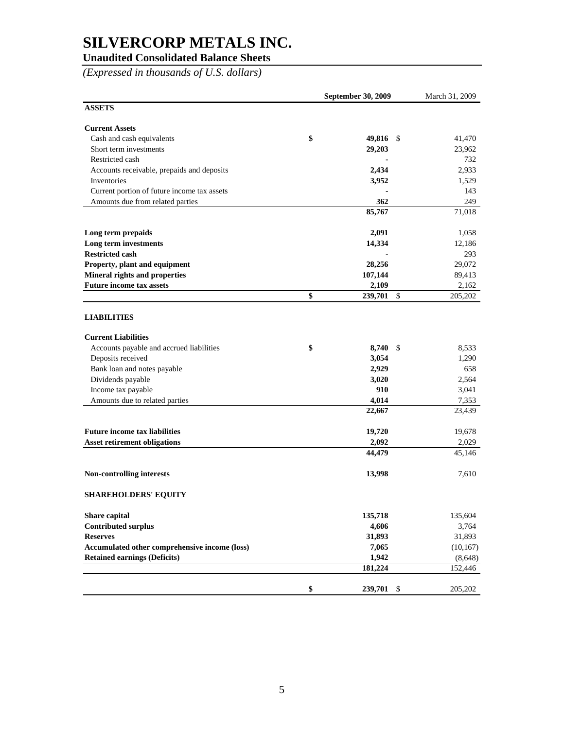### **Unaudited Consolidated Balance Sheets**

*(Expressed in thousands of U.S. dollars)* 

|                                               | <b>September 30, 2009</b> | March 31, 2009          |           |
|-----------------------------------------------|---------------------------|-------------------------|-----------|
| <b>ASSETS</b>                                 |                           |                         |           |
| <b>Current Assets</b>                         |                           |                         |           |
| Cash and cash equivalents                     | \$                        | 49,816<br>-S            | 41,470    |
| Short term investments                        |                           | 29,203                  | 23,962    |
| Restricted cash                               |                           |                         | 732       |
| Accounts receivable, prepaids and deposits    |                           | 2,434                   | 2,933     |
| Inventories                                   |                           | 3,952                   | 1,529     |
| Current portion of future income tax assets   |                           |                         | 143       |
| Amounts due from related parties              |                           | 362                     | 249       |
|                                               |                           | 85,767                  | 71,018    |
| Long term prepaids                            |                           | 2,091                   | 1,058     |
| Long term investments                         |                           | 14,334                  | 12,186    |
| <b>Restricted cash</b>                        |                           |                         | 293       |
| Property, plant and equipment                 |                           | 28,256                  | 29,072    |
| Mineral rights and properties                 |                           | 107,144                 | 89,413    |
| <b>Future income tax assets</b>               |                           | 2,109                   | 2,162     |
|                                               | \$                        | 239,701<br>$\mathbb{S}$ | 205,202   |
| <b>LIABILITIES</b>                            |                           |                         |           |
| <b>Current Liabilities</b>                    |                           |                         |           |
| Accounts payable and accrued liabilities      | \$                        | 8,740<br>\$             | 8,533     |
| Deposits received                             |                           | 3,054                   | 1,290     |
| Bank loan and notes payable                   |                           | 2,929                   | 658       |
| Dividends payable                             |                           | 3,020                   | 2,564     |
| Income tax payable                            |                           | 910                     | 3,041     |
| Amounts due to related parties                |                           | 4,014                   | 7,353     |
|                                               |                           | 22,667                  | 23,439    |
| <b>Future income tax liabilities</b>          |                           | 19,720                  | 19,678    |
| <b>Asset retirement obligations</b>           |                           | 2,092                   | 2,029     |
|                                               |                           | 44,479                  | 45,146    |
| Non-controlling interests                     |                           | 13,998                  | 7,610     |
| <b>SHAREHOLDERS' EQUITY</b>                   |                           |                         |           |
| Share capital                                 |                           | 135,718                 | 135,604   |
| <b>Contributed surplus</b>                    |                           | 4,606                   | 3,764     |
| <b>Reserves</b>                               |                           | 31,893                  | 31,893    |
| Accumulated other comprehensive income (loss) |                           | 7,065                   | (10, 167) |
| <b>Retained earnings (Deficits)</b>           |                           | 1,942                   | (8,648)   |
|                                               |                           | 181,224                 | 152,446   |
|                                               |                           |                         |           |
|                                               | \$                        | 239,701 \$              | 205,202   |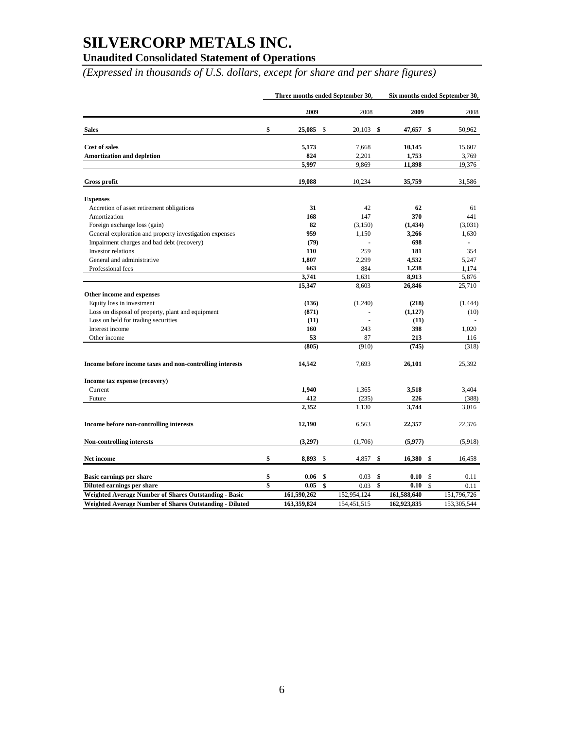### **Unaudited Consolidated Statement of Operations**

*(Expressed in thousands of U.S. dollars, except for share and per share figures)* 

|                                                              | Three months ended September 30, |                | Six months ended September 30, |             |  |  |
|--------------------------------------------------------------|----------------------------------|----------------|--------------------------------|-------------|--|--|
|                                                              | 2009                             | 2008           | 2009                           | 2008        |  |  |
| <b>Sales</b>                                                 | \$<br>25,085<br>S                | \$<br>20,103   | 47,657<br>\$                   | 50,962      |  |  |
| <b>Cost of sales</b>                                         | 5,173                            | 7,668          | 10,145                         | 15,607      |  |  |
| <b>Amortization and depletion</b>                            | 824                              | 2,201          | 1,753                          | 3,769       |  |  |
|                                                              | 5,997                            | 9,869          | 11,898                         | 19,376      |  |  |
| <b>Gross profit</b>                                          | 19,088                           | 10,234         | 35,759                         | 31,586      |  |  |
| <b>Expenses</b>                                              |                                  |                |                                |             |  |  |
| Accretion of asset retirement obligations                    | 31                               | 42             | 62                             | 61          |  |  |
| Amortization                                                 | 168                              | 147            | 370                            | 441         |  |  |
| Foreign exchange loss (gain)                                 | 82                               | (3,150)        | (1, 434)                       | (3,031)     |  |  |
| General exploration and property investigation expenses      | 959                              | 1,150          | 3,266                          | 1,630       |  |  |
| Impairment charges and bad debt (recovery)                   | (79)                             |                | 698                            |             |  |  |
| Investor relations                                           | 110                              | 259            | 181                            | 354         |  |  |
| General and administrative                                   | 1,807                            | 2,299          | 4,532                          | 5,247       |  |  |
| Professional fees                                            | 663                              | 884            | 1,238                          | 1,174       |  |  |
|                                                              | 3,741                            | 1,631          | 8,913                          | 5,876       |  |  |
|                                                              | 15,347                           | 8,603          | 26,846                         | 25,710      |  |  |
| Other income and expenses                                    |                                  |                |                                |             |  |  |
| Equity loss in investment                                    | (136)                            | (1,240)        | (218)                          | (1,444)     |  |  |
| Loss on disposal of property, plant and equipment            | (871)                            |                | (1,127)                        | (10)        |  |  |
| Loss on held for trading securities                          | (11)                             | $\blacksquare$ | (11)                           |             |  |  |
| Interest income                                              | 160                              | 243            | 398                            | 1,020       |  |  |
| Other income                                                 | 53                               | 87             | 213                            | 116         |  |  |
|                                                              | (805)                            | (910)          | (745)                          | (318)       |  |  |
| Income before income taxes and non-controlling interests     | 14,542                           | 7,693          | 26,101                         | 25,392      |  |  |
| Income tax expense (recovery)                                |                                  |                |                                |             |  |  |
| Current                                                      | 1,940                            | 1,365          | 3,518                          | 3,404       |  |  |
| Future                                                       | 412                              | (235)          | 226                            | (388)       |  |  |
|                                                              | 2,352                            | 1,130          | 3,744                          | 3,016       |  |  |
| Income before non-controlling interests                      | 12,190                           | 6,563          | 22,357                         | 22,376      |  |  |
| <b>Non-controlling interests</b>                             | (3,297)                          | (1,706)        | (5,977)                        | (5,918)     |  |  |
| Net income                                                   | \$<br>8,893<br>\$                | 4,857<br>-\$   | 16,380<br>\$                   | 16,458      |  |  |
| Basic earnings per share                                     | \$<br>\$<br>0.06                 | 0.03<br>\$     | 0.10<br>\$                     | 0.11        |  |  |
| Diluted earnings per share                                   | \$<br>$\mathbf S$<br>0.05        | 0.03<br>\$     | \$<br>0.10                     | 0.11        |  |  |
| <b>Weighted Average Number of Shares Outstanding - Basic</b> | 161,590,262                      | 152,954,124    | 161,588,640                    | 151,796,726 |  |  |
| Weighted Average Number of Shares Outstanding - Diluted      | 163.359.824                      | 154.451.515    | 162.923.835                    | 153,305,544 |  |  |
|                                                              |                                  |                |                                |             |  |  |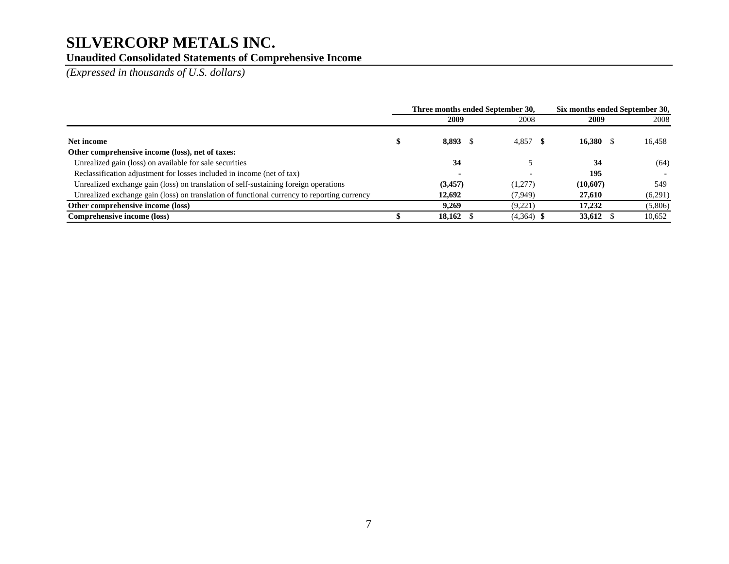### **Unaudited Consolidated Statements of Comprehensive Income**

*(Expressed in thousands of U.S. dollars)* 

|                                                                                             | Three months ended September 30, |              | Six months ended September 30, |         |  |
|---------------------------------------------------------------------------------------------|----------------------------------|--------------|--------------------------------|---------|--|
|                                                                                             | 2009                             | 2008         | 2009                           | 2008    |  |
| Net income                                                                                  | 8,893 \$                         | $4,857$ \$   | $16,380$ \$                    | 16,458  |  |
| Other comprehensive income (loss), net of taxes:                                            |                                  |              |                                |         |  |
| Unrealized gain (loss) on available for sale securities                                     | 34                               |              | 34                             | (64)    |  |
| Reclassification adjustment for losses included in income (net of tax)                      |                                  |              | 195                            |         |  |
| Unrealized exchange gain (loss) on translation of self-sustaining foreign operations        | (3,457)                          | (1,277)      | (10,607)                       | 549     |  |
| Unrealized exchange gain (loss) on translation of functional currency to reporting currency | 12,692                           | (7,949)      | 27,610                         | (6,291) |  |
| Other comprehensive income (loss)                                                           | 9.269                            | (9.221)      | 17,232                         | (5,806) |  |
| Comprehensive income (loss)                                                                 | 18.162                           | $(4,364)$ \$ | <b>33,612</b> \$               | 10.652  |  |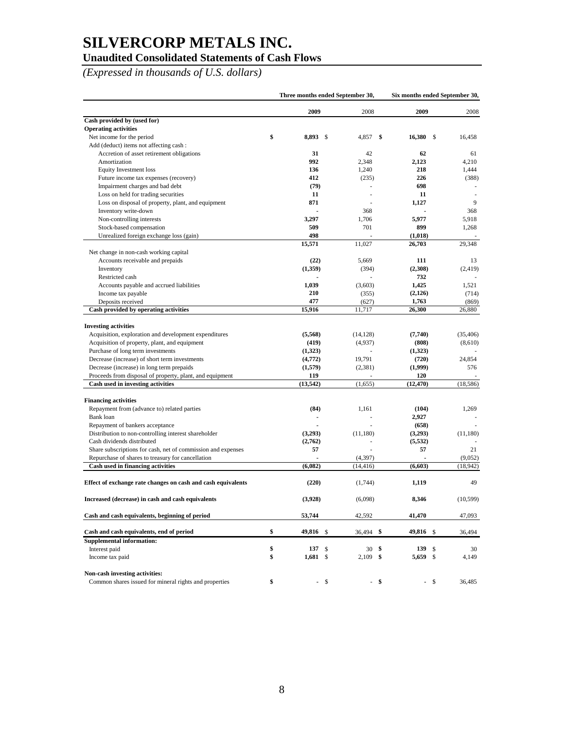### **Unaudited Consolidated Statements of Cash Flows**

*(Expressed in thousands of U.S. dollars)* 

|                                                              | Three months ended September 30, |      |            |      | Six months ended September 30, |    |           |
|--------------------------------------------------------------|----------------------------------|------|------------|------|--------------------------------|----|-----------|
|                                                              | 2009                             |      | 2008       |      | 2009                           |    | 2008      |
| Cash provided by (used for)                                  |                                  |      |            |      |                                |    |           |
| <b>Operating activities</b>                                  |                                  |      |            |      |                                |    |           |
| Net income for the period                                    | \$<br>8,893 \$                   |      | 4,857      | \$   | 16.380                         | -S | 16,458    |
| Add (deduct) items not affecting cash:                       |                                  |      |            |      |                                |    |           |
| Accretion of asset retirement obligations                    | 31                               |      | 42         |      | 62                             |    | 61        |
| Amortization                                                 | 992                              |      | 2,348      |      | 2,123                          |    | 4,210     |
| <b>Equity Investment loss</b>                                | 136                              |      | 1,240      |      | 218                            |    | 1,444     |
| Future income tax expenses (recovery)                        | 412                              |      | (235)      |      | 226                            |    | (388)     |
| Impairment charges and bad debt                              | (79)                             |      |            |      | 698                            |    |           |
| Loss on held for trading securities                          | 11                               |      |            |      | 11                             |    |           |
| Loss on disposal of property, plant, and equipment           | 871                              |      |            |      | 1,127                          |    | 9         |
| Inventory write-down                                         |                                  |      | 368        |      |                                |    | 368       |
| Non-controlling interests                                    | 3,297                            |      | 1,706      |      | 5,977                          |    | 5,918     |
| Stock-based compensation                                     | 509                              |      | 701        |      | 899                            |    | 1,268     |
| Unrealized foreign exchange loss (gain)                      | 498                              |      |            |      | (1,018)                        |    |           |
|                                                              | 15,571                           |      | 11,027     |      | 26,703                         |    | 29,348    |
| Net change in non-cash working capital                       |                                  |      |            |      |                                |    |           |
| Accounts receivable and prepaids                             | (22)                             |      | 5,669      |      | 111                            |    | 13        |
| Inventory                                                    | (1,359)                          |      | (394)      |      | (2,308)                        |    | (2, 419)  |
| Restricted cash                                              |                                  |      | ä,         |      | 732                            |    |           |
| Accounts payable and accrued liabilities                     | 1,039                            |      | (3,603)    |      | 1,425                          |    | 1,521     |
| Income tax payable                                           | 210                              |      | (355)      |      | (2,126)                        |    | (714)     |
| Deposits received                                            | 477                              |      | (627)      |      | 1,763                          |    | (869)     |
| Cash provided by operating activities                        | 15,916                           |      | 11,717     |      | 26,300                         |    | 26,880    |
|                                                              |                                  |      |            |      |                                |    |           |
| <b>Investing activities</b>                                  |                                  |      |            |      |                                |    |           |
| Acquisition, exploration and development expenditures        | (5,568)                          |      | (14, 128)  |      | (7,740)                        |    | (35, 406) |
| Acquisition of property, plant, and equipment                | (419)                            |      | (4,937)    |      | (808)                          |    | (8,610)   |
| Purchase of long term investments                            | (1,323)                          |      |            |      | (1,323)                        |    |           |
| Decrease (increase) of short term investments                | (4,772)                          |      | 19,791     |      | (720)                          |    | 24,854    |
| Decrease (increase) in long term prepaids                    | (1,579)                          |      | (2,381)    |      | (1,999)                        |    | 576       |
| Proceeds from disposal of property, plant, and equipment     | 119                              |      |            |      | 120                            |    |           |
| Cash used in investing activities                            | (13, 542)                        |      | (1,655)    |      | (12, 470)                      |    | (18, 586) |
| <b>Financing activities</b>                                  |                                  |      |            |      |                                |    |           |
| Repayment from (advance to) related parties                  | (84)                             |      | 1,161      |      | (104)                          |    | 1,269     |
| Bank loan                                                    |                                  |      |            |      | 2,927                          |    |           |
| Repayment of bankers acceptance                              |                                  |      |            |      | (658)                          |    |           |
| Distribution to non-controlling interest shareholder         | (3,293)                          |      | (11,180)   |      | (3,293)                        |    | (11,180)  |
| Cash dividends distributed                                   | (2,762)                          |      | L,         |      | (5, 532)                       |    |           |
| Share subscriptions for cash, net of commission and expenses | 57                               |      |            |      | 57                             |    | 21        |
| Repurchase of shares to treasury for cancellation            |                                  |      | (4, 397)   |      |                                |    | (9,052)   |
| Cash used in financing activities                            | (6,082)                          |      | (14, 416)  |      | (6,603)                        |    | (18, 942) |
|                                                              |                                  |      |            |      |                                |    |           |
| Effect of exchange rate changes on cash and cash equivalents | (220)                            |      | (1,744)    |      | 1,119                          |    | 49        |
| Increased (decrease) in cash and cash equivalents            | (3,928)                          |      | (6,098)    |      | 8,346                          |    | (10.599)  |
| Cash and cash equivalents, beginning of period               | 53,744                           |      | 42,592     |      | 41,470                         |    | 47,093    |
|                                                              |                                  |      |            |      |                                |    |           |
| Cash and cash equivalents, end of period                     | \$<br>49,816 \$                  |      | 36,494 \$  |      | 49,816 \$                      |    | 36,494    |
| <b>Supplemental information:</b>                             |                                  |      |            |      |                                |    |           |
| Interest paid                                                | \$<br>137S                       |      | $30*$      |      | 139                            | \$ | 30        |
| Income tax paid                                              | \$<br>$1,681$ \$                 |      | $2,109$ \$ |      | 5,659                          | \$ | 4,149     |
| Non-cash investing activities:                               |                                  |      |            |      |                                |    |           |
| Common shares issued for mineral rights and properties       | \$                               | $-5$ |            | - \$ | - \$                           |    | 36,485    |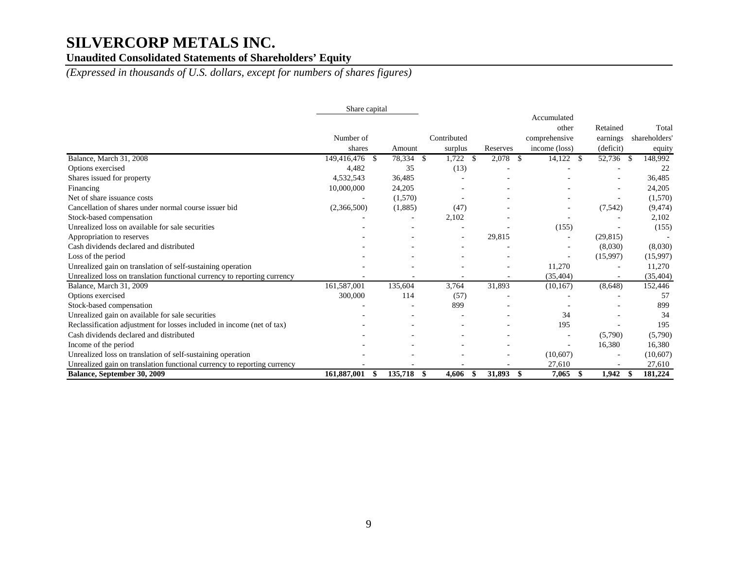### Unaudited Consolidated Statements of Shareholders' Equity

*(Expressed in thousands of U.S. dollars, except for numbers of shares figures)* 

|                                                                          | Share capital       |              |                          |          |                                                        |                                   |                                  |
|--------------------------------------------------------------------------|---------------------|--------------|--------------------------|----------|--------------------------------------------------------|-----------------------------------|----------------------------------|
|                                                                          | Number of<br>shares | Amount       | Contributed<br>surplus   | Reserves | Accumulated<br>other<br>comprehensive<br>income (loss) | Retained<br>earnings<br>(deficit) | Total<br>shareholders'<br>equity |
| Balance, March 31, 2008                                                  | 149,416,476<br>-8   | 78,334<br>-S | 1,722<br>-S              | 2,078    | 14,122<br>- \$<br>-S                                   | 52,736                            | 148,992<br>- \$                  |
| Options exercised                                                        | 4,482               | 35           | (13)                     |          |                                                        |                                   | 22                               |
| Shares issued for property                                               | 4,532,543           | 36,485       |                          |          |                                                        |                                   | 36,485                           |
| Financing                                                                | 10,000,000          | 24,205       |                          |          |                                                        |                                   | 24,205                           |
| Net of share issuance costs                                              |                     | (1,570)      |                          |          |                                                        |                                   | (1,570)                          |
| Cancellation of shares under normal course issuer bid                    | (2,366,500)         | (1,885)      | (47)                     |          |                                                        | (7, 542)                          | (9, 474)                         |
| Stock-based compensation                                                 |                     |              | 2,102                    |          |                                                        |                                   | 2,102                            |
| Unrealized loss on available for sale securities                         |                     |              |                          |          | (155)                                                  |                                   | (155)                            |
| Appropriation to reserves                                                |                     |              | $\overline{\phantom{a}}$ | 29,815   |                                                        | (29, 815)                         |                                  |
| Cash dividends declared and distributed                                  |                     |              |                          |          |                                                        | (8,030)                           | (8,030)                          |
| Loss of the period                                                       |                     |              |                          |          |                                                        | (15,997)                          | (15,997)                         |
| Unrealized gain on translation of self-sustaining operation              |                     |              |                          |          | 11,270                                                 |                                   | 11,270                           |
| Unrealized loss on translation functional currency to reporting currency |                     |              |                          |          | (35, 404)                                              |                                   | (35, 404)                        |
| Balance, March 31, 2009                                                  | 161,587,001         | 135,604      | 3,764                    | 31,893   | (10, 167)                                              | (8,648)                           | 152,446                          |
| Options exercised                                                        | 300,000             | 114          | (57)                     |          |                                                        |                                   | 57                               |
| Stock-based compensation                                                 |                     |              | 899                      |          |                                                        |                                   | 899                              |
| Unrealized gain on available for sale securities                         |                     |              |                          |          | 34                                                     |                                   | 34                               |
| Reclassification adjustment for losses included in income (net of tax)   |                     |              |                          |          | 195                                                    |                                   | 195                              |
| Cash dividends declared and distributed                                  |                     |              |                          |          |                                                        | (5,790)                           | (5,790)                          |
| Income of the period                                                     |                     |              |                          |          |                                                        | 16,380                            | 16,380                           |
| Unrealized loss on translation of self-sustaining operation              |                     |              |                          |          | (10,607)                                               |                                   | (10,607)                         |
| Unrealized gain on translation functional currency to reporting currency |                     |              |                          |          | 27,610                                                 |                                   | 27,610                           |
| Balance, September 30, 2009                                              | 161,887,001         | 135,718<br>S | 4,606<br>-S              | 31,893   | 7,065<br>\$<br>S                                       | 1,942                             | 181,224<br>- \$                  |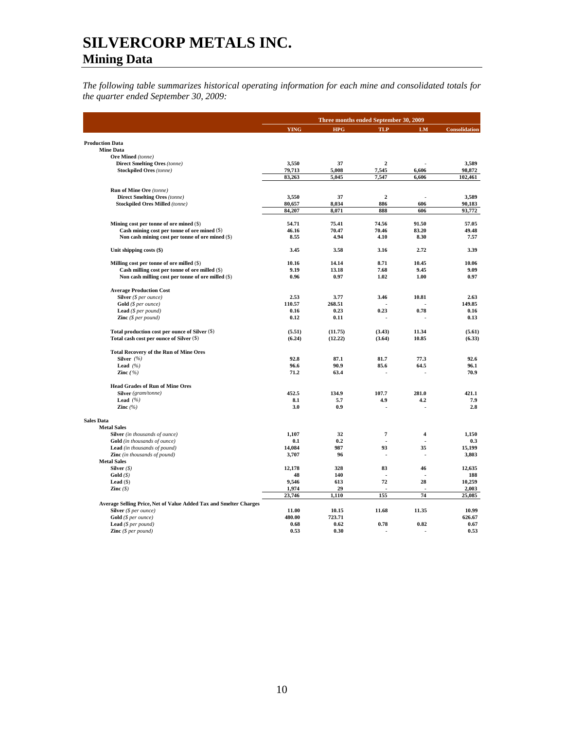*The following table summarizes historical operating information for each mine and consolidated totals for the quarter ended September 30, 2009:*

|                                                                   |                | Three months ended September 30, 2009 |                |                          |                |  |  |
|-------------------------------------------------------------------|----------------|---------------------------------------|----------------|--------------------------|----------------|--|--|
|                                                                   | <b>YING</b>    | <b>HPG</b>                            | <b>TLP</b>     | LM                       | Consolidation  |  |  |
| <b>Production Data</b>                                            |                |                                       |                |                          |                |  |  |
| <b>Mine Data</b>                                                  |                |                                       |                |                          |                |  |  |
| Ore Mined (tonne)                                                 |                |                                       |                |                          |                |  |  |
| <b>Direct Smelting Ores (tonne)</b>                               | 3,550          | 37                                    | $\overline{2}$ |                          | 3,589          |  |  |
| <b>Stockpiled Ores</b> (tonne)                                    | 79,713         | 5,008                                 | 7,545          | 6,606                    | 98,872         |  |  |
|                                                                   | 83,263         | 5,045                                 | 7,547          | 6,606                    | 102,461        |  |  |
| Run of Mine Ore (tonne)                                           |                |                                       |                |                          |                |  |  |
| <b>Direct Smelting Ores (tonne)</b>                               | 3,550          | 37                                    | $\mathbf{2}$   |                          | 3,589          |  |  |
| <b>Stockpiled Ores Milled (tonne)</b>                             | 80.657         | 8.034                                 | 886            | 606                      | 90,183         |  |  |
|                                                                   | 84,207         | 8,071                                 | 888            | 606                      | 93,772         |  |  |
| Mining cost per tonne of ore mined $(\$)$                         | 54.71          | 75.41                                 | 74.56          | 91.50                    | 57.05          |  |  |
| Cash mining cost per tonne of ore mined (\$)                      | 46.16          | 70.47                                 | 70.46          | 83.20                    | 49.48          |  |  |
| Non cash mining cost per tonne of ore mined (\$)                  | 8.55           | 4.94                                  | 4.10           | 8.30                     | 7.57           |  |  |
| Unit shipping costs (\$)                                          | 3.45           | 3.58                                  | 3.16           | 2.72                     | 3.39           |  |  |
| Milling cost per tonne of ore milled (\$)                         | 10.16          | 14.14                                 | 8.71           | 10.45                    | 10.06          |  |  |
| Cash milling cost per tonne of ore milled (\$)                    | 9.19           | 13.18                                 | 7.68           | 9.45                     | 9.09           |  |  |
| Non cash milling cost per tonne of ore milled (\$)                | 0.96           | 0.97                                  | 1.02           | 1.00                     | 0.97           |  |  |
|                                                                   |                |                                       |                |                          |                |  |  |
| <b>Average Production Cost</b>                                    |                |                                       |                |                          |                |  |  |
| Silver $(§ per ounce)$                                            | 2.53<br>110.57 | 3.77<br>268.51                        | 3.46           | 10.81                    | 2.63<br>149.85 |  |  |
| Gold (\$ per ounce)<br><b>Lead</b> ( $$per pound$ )               | 0.16           | 0.23                                  | 0.23           | 0.78                     | 0.16           |  |  |
| <b>Zinc</b> $(\$ per pound)$                                      | 0.12           | 0.11                                  |                |                          | 0.13           |  |  |
|                                                                   |                |                                       |                |                          |                |  |  |
| Total production cost per ounce of Silver (\$)                    | (5.51)         | (11.75)                               | (3.43)         | 11.34                    | (5.61)         |  |  |
| Total cash cost per ounce of Silver (\$)                          | (6.24)         | (12.22)                               | (3.64)         | 10.85                    | (6.33)         |  |  |
| <b>Total Recovery of the Run of Mine Ores</b>                     |                |                                       |                |                          |                |  |  |
| Silver $(%$                                                       | 92.8           | 87.1                                  | 81.7           | 77.3                     | 92.6           |  |  |
| Lead $(%$                                                         | 96.6           | 90.9                                  | 85.6           | 64.5                     | 96.1           |  |  |
| Zinc $( %)$                                                       | 71.2           | 63.4                                  |                |                          | 70.9           |  |  |
| <b>Head Grades of Run of Mine Ores</b>                            |                |                                       |                |                          |                |  |  |
| Silver (gram/tonne)                                               | 452.5          | 134.9                                 | 107.7          | 281.0                    | 421.1          |  |  |
| Lead $(%$                                                         | 8.1            | 5.7                                   | 4.9            | 4.2                      | 7.9            |  |  |
| Zinc $(%$                                                         | 3.0            | 0.9                                   | ä,             |                          | 2.8            |  |  |
| <b>Sales Data</b>                                                 |                |                                       |                |                          |                |  |  |
| <b>Metal Sales</b>                                                |                |                                       |                |                          |                |  |  |
| Silver (in thousands of ounce)                                    | 1.107          | 32                                    | 7              | 4                        | 1.150          |  |  |
| <b>Gold</b> (in thousands of ounce)                               | 0.1            | 0.2                                   |                |                          | 0.3            |  |  |
| <b>Lead</b> (in thousands of pound)                               | 14,084         | 987                                   | 93             | 35                       | 15,199         |  |  |
| Zinc (in thousands of pound)                                      | 3,707          | 96                                    | $\overline{a}$ | $\overline{\phantom{a}}$ | 3,803          |  |  |
| <b>Metal Sales</b>                                                |                | 328                                   | 83             |                          |                |  |  |
| Silver $(S)$<br>Gold $(\$)$                                       | 12,178<br>48   | 140                                   | ÷.             | 46                       | 12,635<br>188  |  |  |
| Lead $(\$)$                                                       | 9,546          | 613                                   | 72             | 28                       | 10,259         |  |  |
| Zinc $(S)$                                                        | 1,974          | 29                                    |                |                          | 2,003          |  |  |
|                                                                   | 23,746         | 1,110                                 | 155            | 74                       | 25,085         |  |  |
| Average Selling Price, Net of Value Added Tax and Smelter Charges |                |                                       |                |                          |                |  |  |
| Silver $(§ per ounce)$                                            | 11.00          | 10.15                                 | 11.68          | 11.35                    | 10.99          |  |  |
| Gold (\$ per ounce)                                               | 480.00         | 723.71                                |                |                          | 626.67         |  |  |
| <b>Lead</b> ( $$per pound$ )                                      | 0.68           | 0.62                                  | 0.78           | 0.82                     | 0.67           |  |  |
| <b>Zinc</b> $(S$ per pound)                                       | 0.53           | 0.30                                  |                |                          | 0.53           |  |  |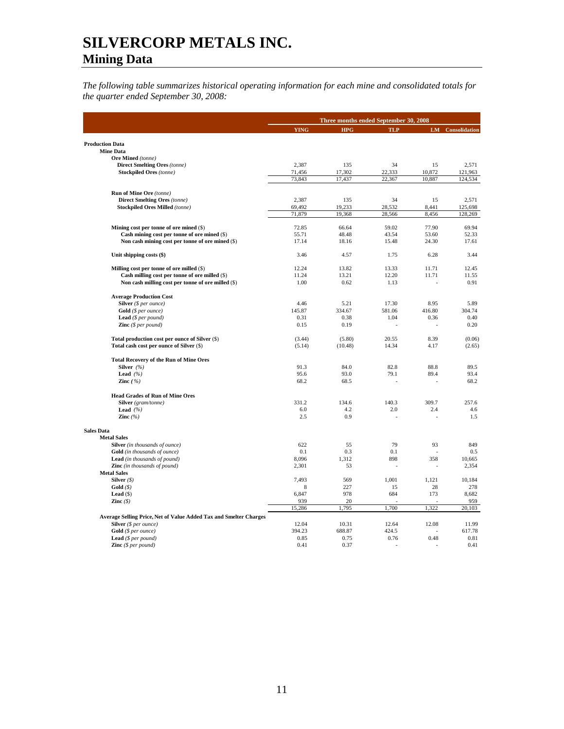*The following table summarizes historical operating information for each mine and consolidated totals for the quarter ended September 30, 2008:* 

|                                                                            |              | Three months ended September 30, 2008 |               |        |                         |  |
|----------------------------------------------------------------------------|--------------|---------------------------------------|---------------|--------|-------------------------|--|
|                                                                            | <b>YING</b>  | <b>HPG</b>                            | <b>TLP</b>    |        | <b>LM</b> Consolidation |  |
| <b>Production Data</b>                                                     |              |                                       |               |        |                         |  |
| <b>Mine Data</b>                                                           |              |                                       |               |        |                         |  |
| <b>Ore Mined</b> (tonne)                                                   |              |                                       |               |        |                         |  |
| <b>Direct Smelting Ores</b> (tonne)                                        | 2,387        | 135                                   | 34            | 15     | 2,571                   |  |
| <b>Stockpiled Ores</b> (tonne)                                             | 71,456       | 17,302                                | 22,333        | 10,872 | 121,963                 |  |
|                                                                            | 73,843       | 17,437                                | 22,367        | 10,887 | 124,534                 |  |
| Run of Mine Ore (tonne)                                                    |              |                                       |               |        |                         |  |
| <b>Direct Smelting Ores (tonne)</b>                                        | 2,387        | 135                                   | 34            | 15     | 2,571                   |  |
| <b>Stockpiled Ores Milled (tonne)</b>                                      | 69,492       | 19,233                                | 28,532        | 8,441  | 125,698                 |  |
|                                                                            | 71,879       | 19,368                                | 28,566        | 8,456  | 128,269                 |  |
| Mining cost per tonne of ore mined (\$)                                    | 72.85        | 66.64                                 | 59.02         | 77.90  | 69.94                   |  |
| Cash mining cost per tonne of ore mined (\$)                               | 55.71        | 48.48                                 | 43.54         | 53.60  | 52.33                   |  |
| Non cash mining cost per tonne of ore mined (\$)                           | 17.14        | 18.16                                 | 15.48         | 24.30  | 17.61                   |  |
| Unit shipping costs (\$)                                                   | 3.46         | 4.57                                  | 1.75          | 6.28   | 3.44                    |  |
| Milling cost per tonne of ore milled (\$)                                  | 12.24        | 13.82                                 | 13.33         | 11.71  | 12.45                   |  |
| Cash milling cost per tonne of ore milled (\$)                             | 11.24        | 13.21                                 | 12.20         | 11.71  | 11.55                   |  |
| Non cash milling cost per tonne of ore milled (\$)                         | 1.00         | 0.62                                  | 1.13          |        | 0.91                    |  |
| <b>Average Production Cost</b>                                             |              |                                       |               |        |                         |  |
| Silver (\$ per ounce)                                                      | 4.46         | 5.21                                  | 17.30         | 8.95   | 5.89                    |  |
| Gold (\$ per ounce)                                                        | 145.87       | 334.67                                | 581.06        | 416.80 | 304.74                  |  |
| <b>Lead</b> ( $$per pound$ )                                               | 0.31         | 0.38                                  | 1.04          | 0.36   | 0.40                    |  |
| <b>Zinc</b> $(\$ per pound)$                                               | 0.15         | 0.19                                  | ÷             | ÷,     | 0.20                    |  |
| Total production cost per ounce of Silver (\$)                             | (3.44)       | (5.80)                                | 20.55         | 8.39   | (0.06)                  |  |
| Total cash cost per ounce of Silver (\$)                                   | (5.14)       | (10.48)                               | 14.34         | 4.17   | (2.65)                  |  |
| <b>Total Recovery of the Run of Mine Ores</b>                              |              |                                       |               |        |                         |  |
| Silver $(%$                                                                | 91.3         | 84.0                                  | 82.8          | 88.8   | 89.5                    |  |
| Lead $(%$                                                                  | 95.6         | 93.0                                  | 79.1          | 89.4   | 93.4                    |  |
| Zinc $( %)$                                                                | 68.2         | 68.5                                  |               |        | 68.2                    |  |
| <b>Head Grades of Run of Mine Ores</b>                                     |              |                                       |               |        |                         |  |
| Silver (gram/tonne)                                                        | 331.2        | 134.6                                 | 140.3         | 309.7  | 257.6                   |  |
| Lead $(%$                                                                  | 6.0          | 4.2                                   | 2.0           | 2.4    | 4.6                     |  |
| Zinc $(%$                                                                  | 2.5          | 0.9                                   | ÷             |        | 1.5                     |  |
| <b>Sales Data</b>                                                          |              |                                       |               |        |                         |  |
| <b>Metal Sales</b>                                                         |              |                                       |               |        |                         |  |
| Silver (in thousands of ounce)                                             | 622<br>0.1   | 55<br>0.3                             | 79<br>0.1     | 93     | 849<br>0.5              |  |
| <b>Gold</b> (in thousands of ounce)<br><b>Lead</b> (in thousands of pound) | 8,096        | 1,312                                 | 898           | 358    | 10,665                  |  |
| <b>Zinc</b> (in thousands of pound)                                        | 2,301        | 53                                    |               |        | 2,354                   |  |
| <b>Metal Sales</b>                                                         |              |                                       |               |        |                         |  |
| Silver $(\$)$                                                              | 7,493        | 569                                   | 1,001         | 1,121  | 10,184                  |  |
| Gold(S)                                                                    | 8            | 227                                   | 15            | 28     | 278                     |  |
| Lead $(\$)$                                                                | 6,847        | 978                                   | 684           | 173    | 8,682                   |  |
| Zinc $(S)$                                                                 | 939          | 20                                    |               |        | 959                     |  |
|                                                                            | 15,286       | 1,795                                 | 1,700         | 1,322  | 20,103                  |  |
| Average Selling Price, Net of Value Added Tax and Smelter Charges          |              |                                       |               |        |                         |  |
| <b>Silver</b> ( $$ per ounce$ )                                            | 12.04        | 10.31                                 | 12.64         | 12.08  | 11.99                   |  |
| Gold (\$ per ounce)                                                        | 394.23       | 688.87<br>0.75                        | 424.5<br>0.76 | 0.48   | 617.78                  |  |
| <b>Lead</b> ( $$per pound$ )<br><b>Zinc</b> $(S \text{ per pound})$        | 0.85<br>0.41 | 0.37                                  |               |        | 0.81<br>0.41            |  |
|                                                                            |              |                                       |               |        |                         |  |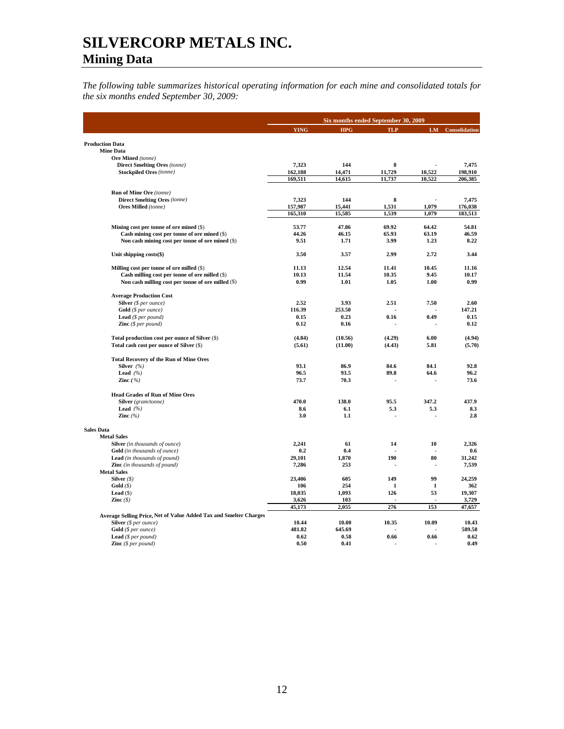*The following table summarizes historical operating information for each mine and consolidated totals for the six months ended September 30, 2009:* 

|                                                                                             | <b>YING</b> | <b>HPG</b> | <b>TLP</b> | LM     | Consolidation |
|---------------------------------------------------------------------------------------------|-------------|------------|------------|--------|---------------|
|                                                                                             |             |            |            |        |               |
| <b>Production Data</b>                                                                      |             |            |            |        |               |
| <b>Mine Data</b>                                                                            |             |            |            |        |               |
| <b>Ore Mined</b> (tonne)<br><b>Direct Smelting Ores (tonne)</b>                             | 7,323       | 144        | 8          |        | 7,475         |
| <b>Stockpiled Ores (tonne)</b>                                                              | 162,188     | 14,471     | 11,729     | 10,522 | 198,910       |
|                                                                                             | 169,511     | 14,615     | 11,737     | 10,522 | 206,385       |
|                                                                                             |             |            |            |        |               |
| Run of Mine Ore (tonne)                                                                     |             |            |            |        |               |
| <b>Direct Smelting Ores (tonne)</b>                                                         | 7,323       | 144        | 8          |        | 7,475         |
| Ores Milled (tonne)                                                                         | 157,987     | 15,441     | 1,531      | 1,079  | 176,038       |
|                                                                                             | 165,310     | 15,585     | 1,539      | 1,079  | 183,513       |
| Mining cost per tonne of ore mined (\$)                                                     | 53.77       | 47.86      | 69.92      | 64.42  | 54.81         |
| Cash mining cost per tonne of ore mined (\$)                                                | 44.26       | 46.15      | 65.93      | 63.19  | 46.59         |
| Non cash mining cost per tonne of ore mined (\$)                                            | 9.51        | 1.71       | 3.99       | 1.23   | 8.22          |
|                                                                                             |             |            |            |        |               |
| Unit shipping costs(\$)                                                                     | 3.50        | 3.57       | 2.99       | 2.72   | 3.44          |
|                                                                                             | 11.13       | 12.54      | 11.41      | 10.45  | 11.16         |
| Milling cost per tonne of ore milled (\$)<br>Cash milling cost per tonne of ore milled (\$) | 10.13       | 11.54      | 10.35      | 9.45   | 10.17         |
| Non cash milling cost per tonne of ore milled (\$)                                          | 0.99        | 1.01       | 1.05       | 1.00   | 0.99          |
|                                                                                             |             |            |            |        |               |
| <b>Average Production Cost</b>                                                              |             |            |            |        |               |
| Silver (\$ per ounce)                                                                       | 2.52        | 3.93       | 2.51       | 7.50   | 2.60          |
| Gold (\$ per ounce)                                                                         | 116.39      | 253.50     |            |        | 147.21        |
| <b>Lead</b> ( $$per pound$ )                                                                | 0.15        | 0.23       | 0.16       | 0.49   | 0.15          |
| <b>Zinc</b> $(S \text{ per pound})$                                                         | 0.12        | 0.16       |            |        | 0.12          |
| Total production cost per ounce of Silver (\$)                                              | (4.84)      | (10.56)    | (4.29)     | 6.00   | (4.94)        |
| Total cash cost per ounce of Silver (\$)                                                    | (5.61)      | (11.00)    | (4.43)     | 5.81   | (5.70)        |
| <b>Total Recovery of the Run of Mine Ores</b>                                               |             |            |            |        |               |
| Silver $(%$                                                                                 | 93.1        | 86.9       | 84.6       | 84.1   | 92.8          |
| Lead $(%$                                                                                   | 96.5        | 93.5       | 89.8       | 64.6   | 96.2          |
| Zinc $(%)$                                                                                  | 73.7        | 70.3       |            |        | 73.6          |
|                                                                                             |             |            |            |        |               |
| <b>Head Grades of Run of Mine Ores</b><br>Silver (gram/tonne)                               | 470.0       | 138.0      | 95.5       | 347.2  | 437.9         |
| Lead $(%$                                                                                   | 8.6         | 6.1        | 5.3        | 5.3    | 8.3           |
| Zinc $(%$                                                                                   | 3.0         | 1.1        |            |        | 2.8           |
|                                                                                             |             |            |            |        |               |
| <b>Sales Data</b>                                                                           |             |            |            |        |               |
| <b>Metal Sales</b>                                                                          |             |            |            |        |               |
| Silver (in thousands of ounce)                                                              | 2,241       | 61         | 14         | 10     | 2,326         |
| Gold (in thousands of ounce)                                                                | 0.2         | 0.4        |            |        | 0.6           |
| Lead (in thousands of pound)                                                                | 29,101      | 1,870      | 190        | 80     | 31,242        |
| Zinc (in thousands of pound)                                                                | 7,286       | 253        |            | Ĩ.     | 7,539         |
| <b>Metal Sales</b><br>Silver $(S)$                                                          | 23,406      | 605        | 149        | 99     | 24,259        |
| Gold(S)                                                                                     | 106         | 254        | 1          | 1      | 362           |
| Lead $($ )                                                                                  | 18,035      | 1,093      | 126        | 53     | 19,307        |
| Zinc $(\$)$                                                                                 | 3,626       | 103        |            |        | 3,729         |
|                                                                                             | 45,173      | 2,055      | 276        | 153    | 47,657        |
| Average Selling Price, Net of Value Added Tax and Smelter Charges                           |             |            |            |        |               |
| Silver (\$ per ounce)                                                                       | 10.44       | 10.00      | 10.35      | 10.09  | 10.43         |
| Gold (\$ per ounce)                                                                         | 481.82      | 645.69     |            |        | 589.58        |
| <b>Lead</b> ( $$per pound$ )                                                                | 0.62        | 0.58       | 0.66       | 0.66   | 0.62          |
| <b>Zinc</b> $(\$ per pound)$                                                                | 0.50        | 0.41       |            |        | 0.49          |